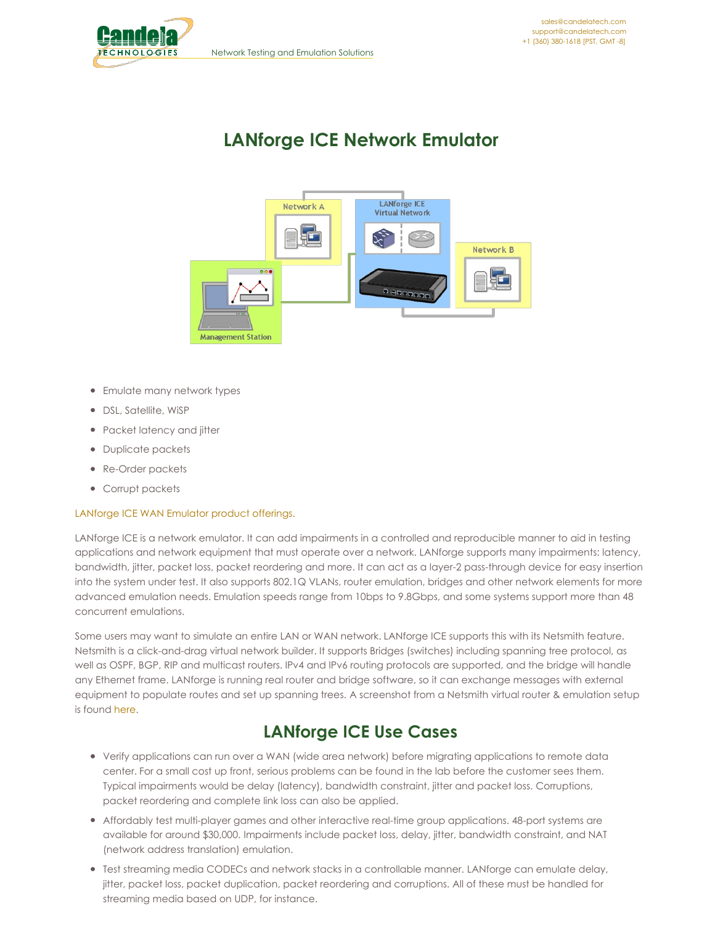<span id="page-0-0"></span>

# **LANforge ICE Network Emulator**



- Emulate many network types
- DSL, Satellite, WiSP
- Packet latency and jitter
- Duplicate packets
- Re-Order packets
- Corrupt packets

#### [LANforge](http://www.candelatech.com/network_impairment_products.php) ICE WAN Emulator product offerings.

LANforge ICE is a network emulator. It can add impairments in a controlled and reproducible manner to aid in testing applications and network equipment that must operate over a network. LANforge supports many impairments: latency, bandwidth, jitter, packet loss, packet reordering and more. It can act as a layer-2 pass-through device for easy insertion into the system under test. It also supports 802.1Q VLANs, router emulation, bridges and other network elements for more advanced emulation needs. Emulation speeds range from 10bps to 9.8Gbps, and some systems support more than 48 concurrent emulations.

Some users may want to simulate an entire LAN or WAN network. LANforge ICE supports this with its Netsmith feature. Netsmith is a click-and-drag virtual network builder. It supports Bridges (switches) including spanning tree protocol, as well as OSPF, BGP, RIP and multicast routers. IPv4 and IPv6 routing protocols are supported, and the bridge will handle any Ethernet frame. LANforge is running real router and bridge software, so it can exchange messages with external equipment to populate routes and set up spanning trees. A screenshot from a Netsmith virtual router & emulation setup is found [here](http://www.candelatech.com/images/ct970-48-hi.png).

### **LANforge ICE Use Cases**

- Verify applications can run over a WAN (wide area network) before migrating applications to remote data center. For a small cost up front, serious problems can be found in the lab before the customer sees them. Typical impairments would be delay (latency), bandwidth constraint, jitter and packet loss. Corruptions, packet reordering and complete link loss can also be applied.
- Affordably test multi-player games and other interactive real-time group applications. 48-port systems are available for around \$30,000. Impairments include packet loss, delay, jitter, bandwidth constraint, and NAT (network address translation) emulation.
- Test streaming media CODECs and network stacks in a controllable manner. LANforge can emulate delay, jitter, packet loss, packet duplication, packet reordering and corruptions. All of these must be handled for streaming media based on UDP, for instance.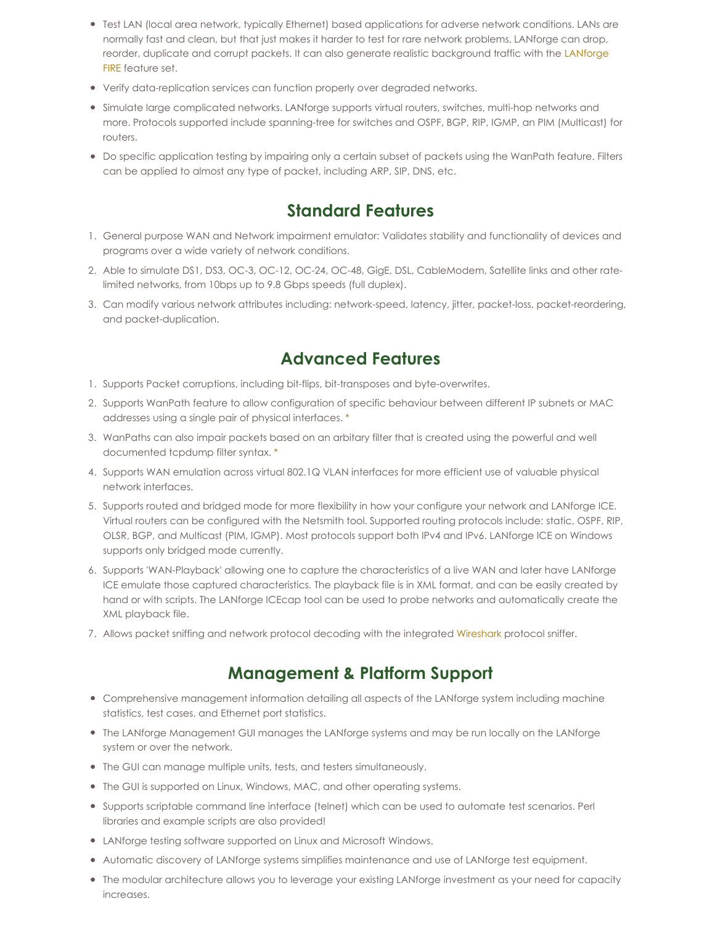- Test LAN (local area network, typically Ethernet) based applications for adverse network conditions. LANs are normally fast and clean, but that just makes it harder to test for rare network problems. LANforge can drop, reorder, duplicate and corrupt packets. It can also generate realistic [background](http://www.candelatech.com/datasheet_fire.php) traffic with the LANforge FIRE feature set.
- Verify data-replication services can function properly over degraded networks.
- Simulate large complicated networks. LANforge supports virtual routers, switches, multi-hop networks and more. Protocols supported include spanning-tree for switches and OSPF, BGP, RIP, IGMP, an PIM (Multicast) for routers.
- Do specific application testing by impairing only a certain subset of packets using the WanPath feature. Filters can be applied to almost any type of packet, including ARP, SIP, DNS, etc.

## **Standard Features**

- 1. General purpose WAN and Network impairment emulator: Validates stability and functionality of devices and programs over a wide variety of network conditions.
- 2. Able to simulate DS1, DS3, OC-3, OC-12, OC-24, OC-48, GigE, DSL, CableModem, Satellite links and other ratelimited networks, from 10bps up to 9.8 Gbps speeds (full duplex).
- 3. Can modify various network attributes including: network-speed, latency, jitter, packet-loss, packet-reordering, and packet-duplication.

### **Advanced Features**

- 1. Supports Packet corruptions, including bit-flips, bit-transposes and byte-overwrites.
- 2. Supports WanPath feature to allow configuration of specific behaviour between different IP subnets or MAC addresses using a single pair of physical interfaces. [\\*](#page-0-0)
- 3. WanPaths can also impair packets based on an arbitary filter that is created using the powerful and well documented tcpdump filter syntax. [\\*](#page-0-0)
- 4. Supports WAN emulation across virtual 802.1Q VLAN interfaces for more efficient use of valuable physical network interfaces.
- 5. Supports routed and bridged mode for more flexibility in how your configure your network and LANforge ICE. Virtual routers can be configured with the Netsmith tool. Supported routing protocols include: static, OSPF, RIP, OLSR, BGP, and Multicast (PIM, IGMP). Most protocols support both IPv4 and IPv6. LANforge ICE on Windows supports only bridged mode currently.
- 6. Supports 'WAN-Playback' allowing one to capture the characteristics of a live WAN and later have LANforge ICE emulate those captured characteristics. The playback file is in XML format, and can be easily created by hand or with scripts. The LANforge ICEcap tool can be used to probe networks and automatically create the XML playback file.
- 7. Allows packet sniffing and network protocol decoding with the integrated [Wireshark](http://www.wireshark.org) protocol sniffer.

### **Management & Platform Support**

- Comprehensive management information detailing all aspects of the LANforge system including machine statistics, test cases, and Ethernet port statistics.
- The LANforge Management GUI manages the LANforge systems and may be run locally on the LANforge system or over the network.
- The GUI can manage multiple units, tests, and testers simultaneously.
- The GUI is supported on Linux, Windows, MAC, and other operating systems.
- Supports scriptable command line interface (telnet) which can be used to automate test scenarios. Perl libraries and example scripts are also provided!
- LANforge testing software supported on Linux and Microsoft Windows.
- Automatic discovery of LANforge systems simplifies maintenance and use of LANforge test equipment.
- The modular architecture allows you to leverage your existing LANforge investment as your need for capacity increases.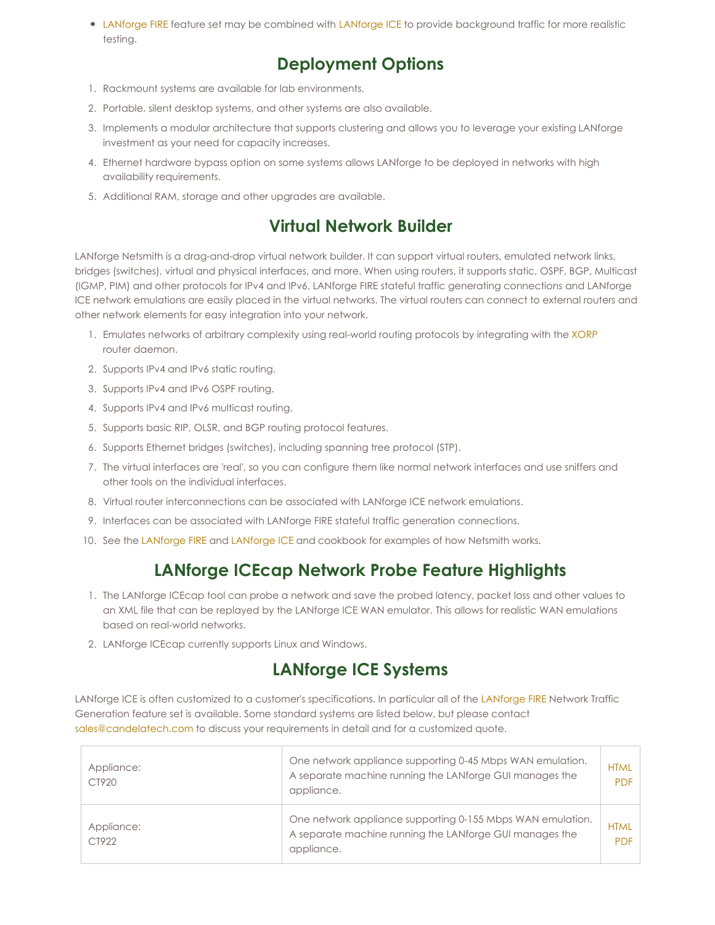• [LANforge](http://www.candelatech.com/datasheet_ice.php) FIRE feature set may be combined with LANforge ICE to provide background traffic for more realistic testing.

## **Deployment Options**

- 1. Rackmount systems are available for lab environments.
- 2. Portable, silent desktop systems, and other systems are also available.
- 3. Implements a modular architecture that supports clustering and allows you to leverage your existing LANforge investment as your need for capacity increases.
- 4. Ethernet hardware bypass option on some systems allows LANforge to be deployed in networks with high availability requirements.
- 5. Additional RAM, storage and other upgrades are available.

## **Virtual Network Builder**

LANforge Netsmith is a drag-and-drop virtual network builder. It can support virtual routers, emulated network links, bridges (switches), virtual and physical interfaces, and more. When using routers, it supports static, OSPF, BGP, Multicast (IGMP, PIM) and other protocols for IPv4 and IPv6. LANforge FIRE stateful traffic generating connections and LANforge ICE network emulations are easily placed in the virtual networks. The virtual routers can connect to external routers and other network elements for easy integration into your network.

- 1. Emulates networks of arbitrary complexity using real-world routing protocols by integrating with the [XORP](http://www.xorp.org) router daemon.
- 2. Supports IPv4 and IPv6 static routing.
- 3. Supports IPv4 and IPv6 OSPF routing.
- 4. Supports IPv4 and IPv6 multicast routing.
- 5. Supports basic RIP, OLSR, and BGP routing protocol features.
- 6. Supports Ethernet bridges (switches), including spanning tree protocol (STP).
- 7. The virtual interfaces are 'real', so you can configure them like normal network interfaces and use sniffers and other tools on the individual interfaces.
- 8. Virtual router interconnections can be associated with LANforge ICE network emulations.
- 9. Interfaces can be associated with LANforge FIRE stateful traffic generation connections.
- 10. See the [LANforge](http://www.candelatech.com/lfgui_ice_cookbook.php) FIRE and LANforge ICE and cookbook for examples of how Netsmith works.

## **LANforge ICEcap Network Probe Feature Highlights**

- 1. The LANforge ICEcap tool can probe a network and save the probed latency, packet loss and other values to an XML file that can be replayed by the LANforge ICE WAN emulator. This allows for realistic WAN emulations based on real-world networks.
- 2. LANforge ICEcap currently supports Linux and Windows.

## **LANforge ICE Systems**

LANforge ICE is often customized to a customer's specifications. In particular all of the [LANforge](http://www.candelatech.com/datasheet_fire.php) FIRE Network Traffic Generation feature set is available. Some standard systems are listed below, but please contact [sales@candelatech.com](mailto:sales@candelatech.com) to discuss your requirements in detail and for a customized quote.

| Appliance:<br>CT920 | One network appliance supporting 0-45 Mbps WAN emulation.<br>A separate machine running the LANforge GUI manages the<br>appliance.  | <b>HTML</b><br><b>PDF</b> |
|---------------------|-------------------------------------------------------------------------------------------------------------------------------------|---------------------------|
| Appliance:<br>CT922 | One network appliance supporting 0-155 Mbps WAN emulation.<br>A separate machine running the LANforge GUI manages the<br>appliance. | <b>HTML</b><br><b>PDF</b> |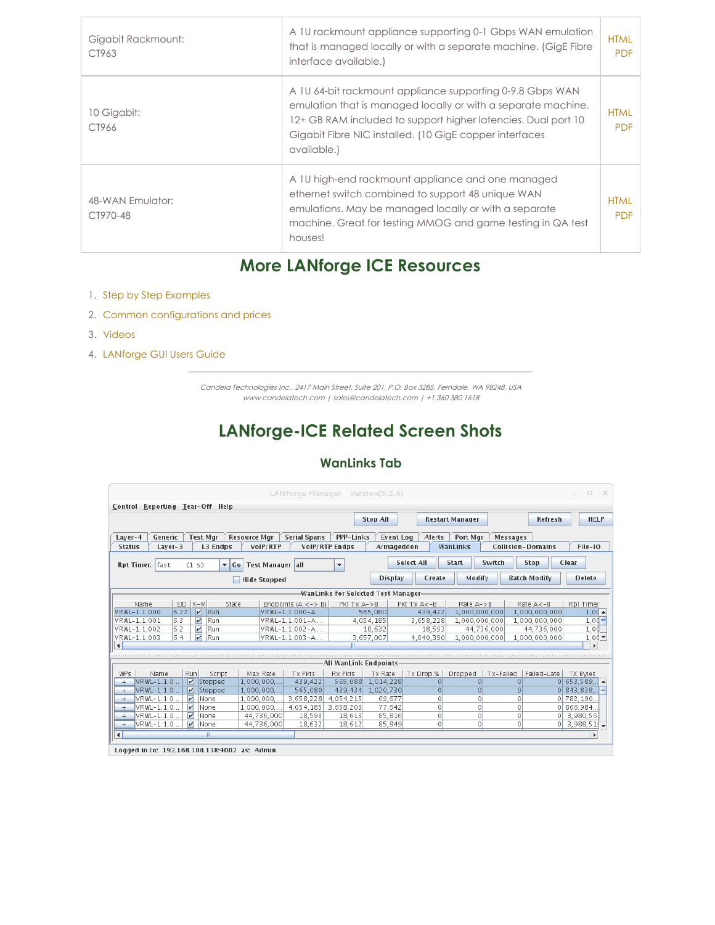| Gigabit Rackmount:<br>CT963  | A 10 rackmount appliance supporting 0-1 Gbps WAN emulation<br>that is managed locally or with a separate machine. (GigE Fibre<br>interface available.)                                                                                                                | <b>HTML</b><br><b>PDF</b> |
|------------------------------|-----------------------------------------------------------------------------------------------------------------------------------------------------------------------------------------------------------------------------------------------------------------------|---------------------------|
| 10 Gigabit:<br>CT966         | A 10 64-bit rackmount appliance supporting 0-9.8 Gbps WAN<br>emulation that is managed locally or with a separate machine.<br>12+ GB RAM included to support higher latencies. Dual port 10<br>Gigabit Fibre NIC installed. (10 GigE copper interfaces<br>available.) | <b>HTML</b><br><b>PDF</b> |
| 48-WAN Emulator:<br>CT970-48 | A 10 high-end rackmount appliance and one managed<br>ethernet switch combined to support 48 unique WAN<br>emulations. May be managed locally or with a separate<br>machine. Great for testing MMOG and game testing in QA test<br>houses!                             | <b>HTML</b><br><b>PDF</b> |

# **More LANforge ICE Resources**

- 1. Step by Step [Examples](http://www.candelatech.com/lfgui_ice_cookbook.php)
- 2. Common [configurations](http://www.candelatech.com/network_impairment_products.php) and prices
- 3. [Videos](http://www.candelatech.com/lanforge_vids.php)
- 4. [LANforge](http://www.candelatech.com/lfgui_ug.php) GUI Users Guide

Candela Technologies Inc., 2417 Main Street, Suite 201, P.O. Box 3285, Ferndale, WA 98248, USA www.candelatech.com | sales@candelatech.com | +1 360 380 1618

## **LANforge-ICE Related Screen Shots**

#### **WanLinks Tab**

| $\Box$<br>$\mathbf{x}$<br>LANforge Manager Version(5.2.4)<br>$\equiv$                                                                                                  |                                 |      |                         |         |                     |                          |                         |                 |                |                        |               |                     |                         |
|------------------------------------------------------------------------------------------------------------------------------------------------------------------------|---------------------------------|------|-------------------------|---------|---------------------|--------------------------|-------------------------|-----------------|----------------|------------------------|---------------|---------------------|-------------------------|
|                                                                                                                                                                        | Control Reporting Tear-Off Help |      |                         |         |                     |                          |                         |                 |                |                        |               |                     |                         |
|                                                                                                                                                                        |                                 |      |                         |         |                     |                          |                         | <b>Stop All</b> |                | <b>Restart Manager</b> |               | Refresh             | <b>HELP</b>             |
|                                                                                                                                                                        |                                 |      |                         |         |                     |                          |                         |                 |                |                        |               |                     |                         |
| Generic<br><b>Test Mar</b><br><b>Resource Mar</b><br><b>Serial Spans</b><br>PPP-Links<br><b>Event Log</b><br>Alerts<br>Port Mar<br>Layer-4<br>Messages                 |                                 |      |                         |         |                     |                          |                         |                 |                |                        |               |                     |                         |
| VoIP/RTP Endps<br>File-IO<br>Layer-3<br>L3 Endps<br>VoIP/RTP<br>WanLinks<br><b>Collision-Domains</b><br><b>Status</b><br>Armageddon                                    |                                 |      |                         |         |                     |                          |                         |                 |                |                        |               |                     |                         |
|                                                                                                                                                                        |                                 |      |                         |         |                     |                          |                         |                 |                |                        |               |                     |                         |
| Select All<br>Switch<br><b>Start</b><br>Clear<br><b>Stop</b><br>Rpt Timer: fast<br>Test Manager all<br>(1 s)<br>$\blacktriangledown$<br>Go<br>$\overline{\phantom{a}}$ |                                 |      |                         |         |                     |                          |                         |                 |                |                        |               |                     |                         |
|                                                                                                                                                                        |                                 |      |                         |         | <b>Hide Stopped</b> |                          |                         | <b>Display</b>  | Create         | Modify                 |               | <b>Batch Modify</b> | <b>Delete</b>           |
| -WanLinks for Selected Test Manager-                                                                                                                                   |                                 |      |                         |         |                     |                          |                         |                 |                |                        |               |                     |                         |
|                                                                                                                                                                        | Name                            | EID  | $K-M$                   | State   |                     | Endpoints $(A \le -> B)$ | $Pkt$ T $x$ A- $>B$     |                 | Pkt Tx A<-B    | Rate $A->B$            |               | Rate $A < -B$       | <b>Rpt Timer</b>        |
|                                                                                                                                                                        | VRWL-1.1.000                    | 6.22 | $\overline{\mathbf{v}}$ | Run     |                     | VRWL-1.1.000-A           |                         | 565,080         | 439.422        | 1.000.000.000          |               | 1,000,000,000       | $1,00 \triangleq$       |
|                                                                                                                                                                        | VRWL-1.1.001                    | 6.3  | $\overline{\mathbf{v}}$ | Run     |                     | VRWL-1.1.001-A           |                         | 4,054,185       | 3,658,228      | 1,000,000,000          |               | 1,000,000,000       | $1.00 \equiv$           |
|                                                                                                                                                                        | VRWL-1.1.002                    | 6.2  | $\overline{\mathbf{v}}$ | Run     |                     | VRWL-1.1.002-A           |                         | 18,632          | 18,593         |                        | 44,736,000    | 44.736.000          | 1,00                    |
|                                                                                                                                                                        | VRWL-1.1.003                    | 6.4  | $\overline{\mathbf{v}}$ | Run     |                     | VRWL-1.1.003-A           |                         | 3,657,007       | 4,040,390      | 1,000,000,000          |               | 1,000,000,000       | 1,00                    |
| $\blacktriangleleft$                                                                                                                                                   |                                 |      |                         |         |                     |                          |                         |                 |                |                        |               |                     | $\mathbf{r}$            |
|                                                                                                                                                                        |                                 |      |                         |         |                     |                          |                         |                 |                |                        |               |                     |                         |
|                                                                                                                                                                        |                                 |      |                         |         |                     |                          | All WanLink Endpoints . |                 |                |                        |               |                     |                         |
| WP <sub>s</sub>                                                                                                                                                        | Name                            |      | Run                     | Script  | Max Rate            | Tx Pkts                  | Rx Pkts                 | Tx Rate         | Tx Drop %      | Dropped                | Tx-Failed     | Failed-Late         | <b>TX Bytes</b>         |
| $\ddot{}$                                                                                                                                                              | VRWL-1.1.0                      |      | $\overline{\mathbf{r}}$ | Stopped | 1,000,000,          | 439,422                  | 565,088                 | 1,014,228       | $\circ$        | $\Omega$               | $\Omega$      |                     | $0 653,589$ $\triangle$ |
| $+$                                                                                                                                                                    | VRWL-1.1.0                      |      | V                       | Stopped | 1,000,000,          | 565,080                  | 439.434                 | 1,020,730       | $\overline{0}$ | $\Omega$               | $\mathcal{Q}$ |                     | 0 843,838,              |
| $+$                                                                                                                                                                    | VRWL-1.1.0                      |      | $\overline{\mathbf{v}}$ | None    | 1,000,000,          | 3,658,228                | 4,054,215               | 69,677          | 0              | 0                      | $\Omega$      |                     | $0$ 782, 190,           |
| $\ddot{}$                                                                                                                                                              | VRWL-1.1.0                      |      | $\overline{\mathbf{r}}$ | None    | 1,000,000,          | 4.054.185                | 3,658,203               | 77.642          | $\circ$        | $\circ$                | 0             |                     | 0 866,984.              |
| $+$                                                                                                                                                                    | VRWL-1.1.0.                     |      | V                       | None    | 44,736,000          | 18.593                   | 18,613                  | 85,816          | 0              | 0                      | $\circ$       | $\Omega$            | 3.980.56                |
| $\ddot{}$                                                                                                                                                              | VRWL-1.1.0.                     |      | $\overline{V}$          | None    | 44,736,000          | 18,632                   | 18,612                  | 85,849          | $\circ$        | 0                      | $\Omega$      | 0                   | 3,988,51                |
| $\blacktriangleleft$                                                                                                                                                   |                                 |      |                         | Ш       |                     |                          |                         |                 |                |                        |               |                     | $\blacktriangleright$   |
| Logged in to: 192.168.100.138:4002 as: Admin                                                                                                                           |                                 |      |                         |         |                     |                          |                         |                 |                |                        |               |                     |                         |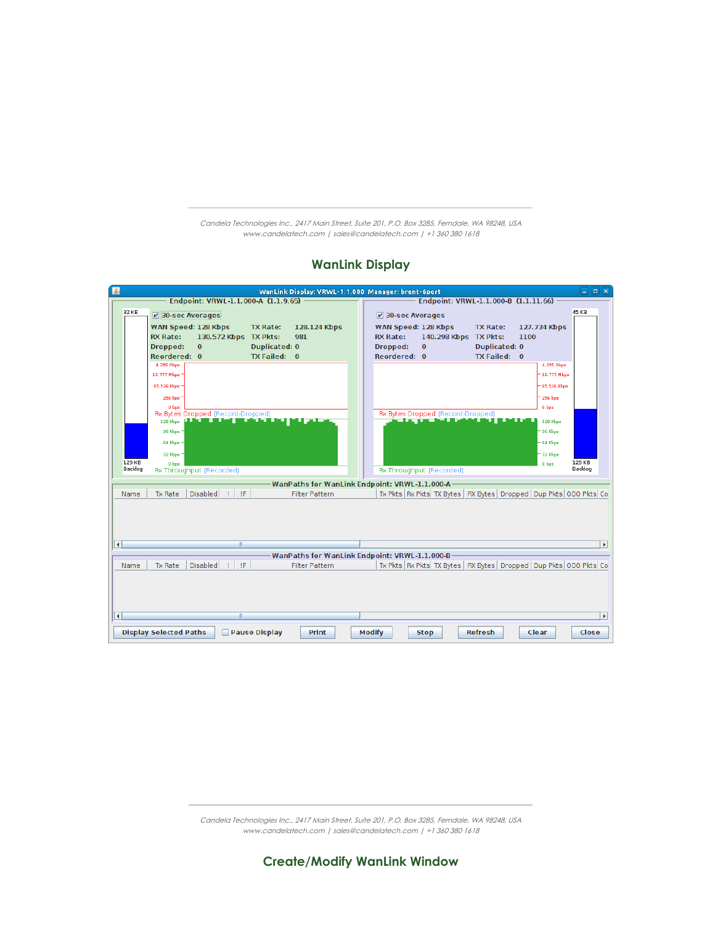Candela Technologies Inc., 2417 Main Street, Suite 201, P.O. Box 3285, Ferndale, WA 98248, USA www.candelatech.com | sales@candelatech.com | +1 360 380 1618

#### **WanLink Display**



Candela Technologies Inc., 2417 Main Street, Suite 201, P.O. Box 3285, Ferndale, WA 98248, USA www.candelatech.com | sales@candelatech.com | +1 360 380 1618

**Create/Modify WanLink Window**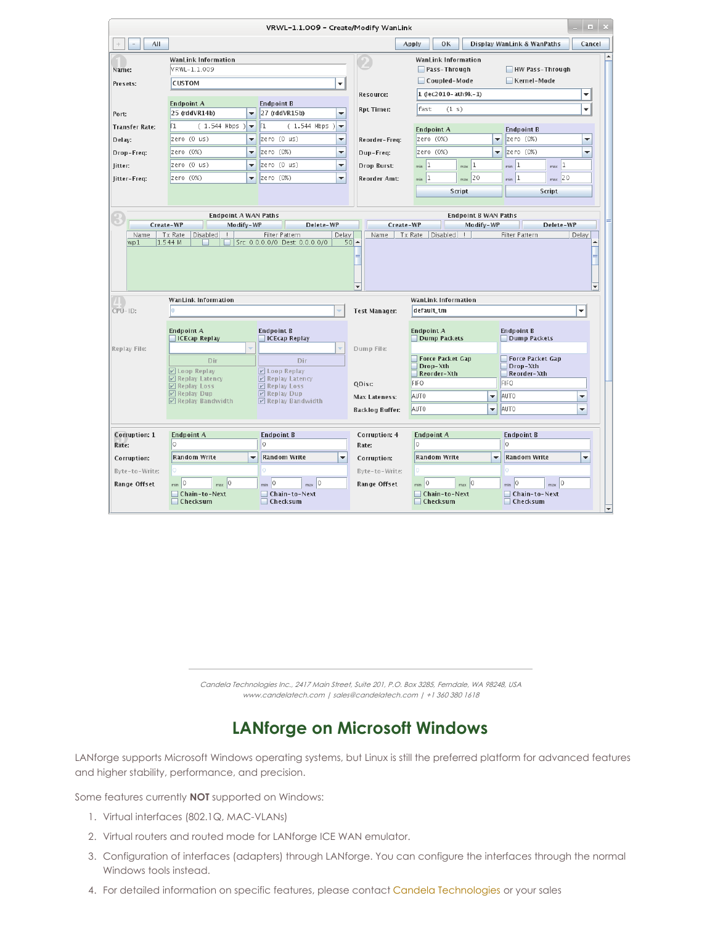|                               |                                                    | VRWL-1.1.009 - Create/Modify WanLink                                         |                                            |                                                            | 1 <b>1</b> X                                                                |
|-------------------------------|----------------------------------------------------|------------------------------------------------------------------------------|--------------------------------------------|------------------------------------------------------------|-----------------------------------------------------------------------------|
| AII                           |                                                    |                                                                              |                                            | OK<br>Apply                                                | Display WanLink & WanPaths<br>Cancel                                        |
| Name:<br>Presets:             | WanLink Information<br>VRWL-1.1.009<br>CUSTOM      |                                                                              | ٠                                          | WanLink Information<br>$\Box$ Pass-Through<br>Coupled-Mode | HW Pass-Through<br>Kernel-Mode                                              |
|                               |                                                    |                                                                              | <b>Resource:</b>                           | $1$ (lec2010-ath9k-1)                                      | ۳                                                                           |
| Port:                         | <b>Endpoint A</b><br>25 (rddVR14b)                 | <b>Endpoint B</b><br>27 (rddVR15b)<br>$\overline{\phantom{a}}$               | <b>Rpt Timer:</b><br>٠                     | fast<br>(1 s)                                              | ٠                                                                           |
| <b>Transfer Rate:</b>         | $(1.544$ Mbps $)$<br>Γ1.                           | $\vert$ <sup>1</sup><br>$(1.544$ Mbps $)\rightarrow$<br>$\blacktriangledown$ |                                            | <b>Endpoint A</b>                                          | <b>Endpoint B</b>                                                           |
| Delay:                        | zero (0 us)                                        | zero (0 us)<br>$\overline{\phantom{a}}$                                      | ▼<br>Reorder-Freq:                         | zero (0%)                                                  | zero (0%)<br>$\blacktriangledown$<br>▼                                      |
| Drop-Freq:                    | zero (0%)                                          | zero (0%)<br>$\blacktriangledown$                                            | ▼<br>Dup-Freq:                             | zero (0%)                                                  | zero (0%)<br>$\overline{\mathbf{v}}$<br>▼                                   |
| litter:                       | zero (0 us)                                        | zero (0 us)<br>$\overline{\phantom{a}}$                                      | $\blacktriangledown$<br><b>Drop Burst:</b> | $min$ 1<br> 1<br>max                                       | $max$ <sup>1</sup><br> 1<br>min                                             |
| Jitter-Freq:                  | zero (0%)                                          | zero (0%)<br>$\blacktriangledown$                                            | $\blacktriangledown$<br>Reorder Amt:       | $min$ 1<br>$max$ 20                                        | $min$ 1<br>$max$ 20                                                         |
|                               |                                                    |                                                                              |                                            | Script                                                     | Script                                                                      |
|                               |                                                    |                                                                              |                                            |                                                            |                                                                             |
|                               | <b>Endpoint A WAN Paths</b>                        |                                                                              |                                            | <b>Endpoint B WAN Paths</b>                                |                                                                             |
| Name                          | Create-WP<br>Modify-WP<br>Tx Rate<br>Disabled<br>П | Delete-WP<br>Filter Pattern                                                  | Create-WP<br>Delay<br>Name                 | Modify-WP<br>Tx Rate<br>Disabled                           | Delete-WP<br>Filter Pattern<br>Delay                                        |
|                               |                                                    |                                                                              | ٠                                          |                                                            |                                                                             |
|                               | WanLink Information                                |                                                                              |                                            | WanLink Information                                        |                                                                             |
| CPU-ID:                       |                                                    |                                                                              | <b>Test Manager:</b>                       | default tm                                                 | ۰                                                                           |
|                               | <b>Endpoint A</b><br><b>ICEcap Replay</b>          | <b>Endpoint B</b><br><b>ICEcap Replay</b>                                    |                                            | <b>Endpoint A</b><br>Dump Packets                          | <b>Endpoint B</b><br>Dump Packets                                           |
| Replay File:                  |                                                    |                                                                              | Dump File:                                 |                                                            |                                                                             |
|                               | Dir<br><b>☑</b> Loop Replay                        | Dir<br>$V$ Loop Replay                                                       |                                            | Force Packet Gap<br>Drop-Xth<br>Reorder-Xth                | Force Packet Gap<br>Drop-Xth<br>Reorder-Xth                                 |
|                               | ☑ Replay Latency<br><b>Ø</b> Replay Loss           | $V$ Replay Latency<br>$V$ Replay Loss                                        | QDisc                                      | FIFO                                                       | <b>FIFO</b>                                                                 |
|                               | <b>☑</b> Replay Dup<br>☑ Replay Bandwidth          | $\nu$ Replay Dup<br>$\nu$ Replay Bandwidth                                   | Max Lateness:                              | AUT0<br>▼                                                  | AUT <sub>0</sub><br>▼                                                       |
|                               |                                                    |                                                                              | Backlog Buffer:                            | AUT0<br>$\overline{\phantom{a}}$                           | AUT <sub>0</sub><br>▼                                                       |
|                               |                                                    |                                                                              |                                            |                                                            |                                                                             |
| <b>Corruption: 1</b><br>Rate: | <b>Endpoint A</b><br>0                             | <b>Endpoint B</b><br>Corruption: 4<br>lo.<br>O.<br>Rate:                     |                                            | <b>Endpoint A</b>                                          | <b>Endpoint B</b><br>lo.                                                    |
| Corruption:                   | <b>Random Write</b>                                | <b>Random Write</b><br>$\overline{\phantom{a}}$                              | $\overline{\phantom{a}}$<br>Corruption:    | <b>Random Write</b>                                        | <b>Random Write</b><br>$\overline{\phantom{a}}$<br>$\overline{\phantom{a}}$ |
| Byte-to-Write:                |                                                    |                                                                              | Byte-to-Write:                             |                                                            |                                                                             |
| <b>Range Offset</b>           | $max$ 0<br>$min$ 0                                 | $min$ 0<br>$max$ 0                                                           | <b>Range Offset</b>                        | $min$ 0<br>$max$ 0                                         | $max$ 0<br>$min$ 0                                                          |
|                               |                                                    |                                                                              |                                            |                                                            |                                                                             |

Candela Technologies Inc., 2417 Main Street, Suite 201, P.O. Box 3285, Ferndale, WA 98248, USA www.candelatech.com | sales@candelatech.com | +1 360 380 1618

# **LANforge on Microsoft Windows**

LANforge supports Microsoft Windows operating systems, but Linux is still the preferred platform for advanced features and higher stability, performance, and precision.

Some features currently **NOT** supported on Windows:

- 1. Virtual interfaces (802.1Q, MAC-VLANs)
- 2. Virtual routers and routed mode for LANforge ICE WAN emulator.
- 3. Configuration of interfaces (adapters) through LANforge. You can configure the interfaces through the normal Windows tools instead.
- 4. For detailed information on specific features, please contact Candela [Technologies](http://www.candelatech.com) or your sales